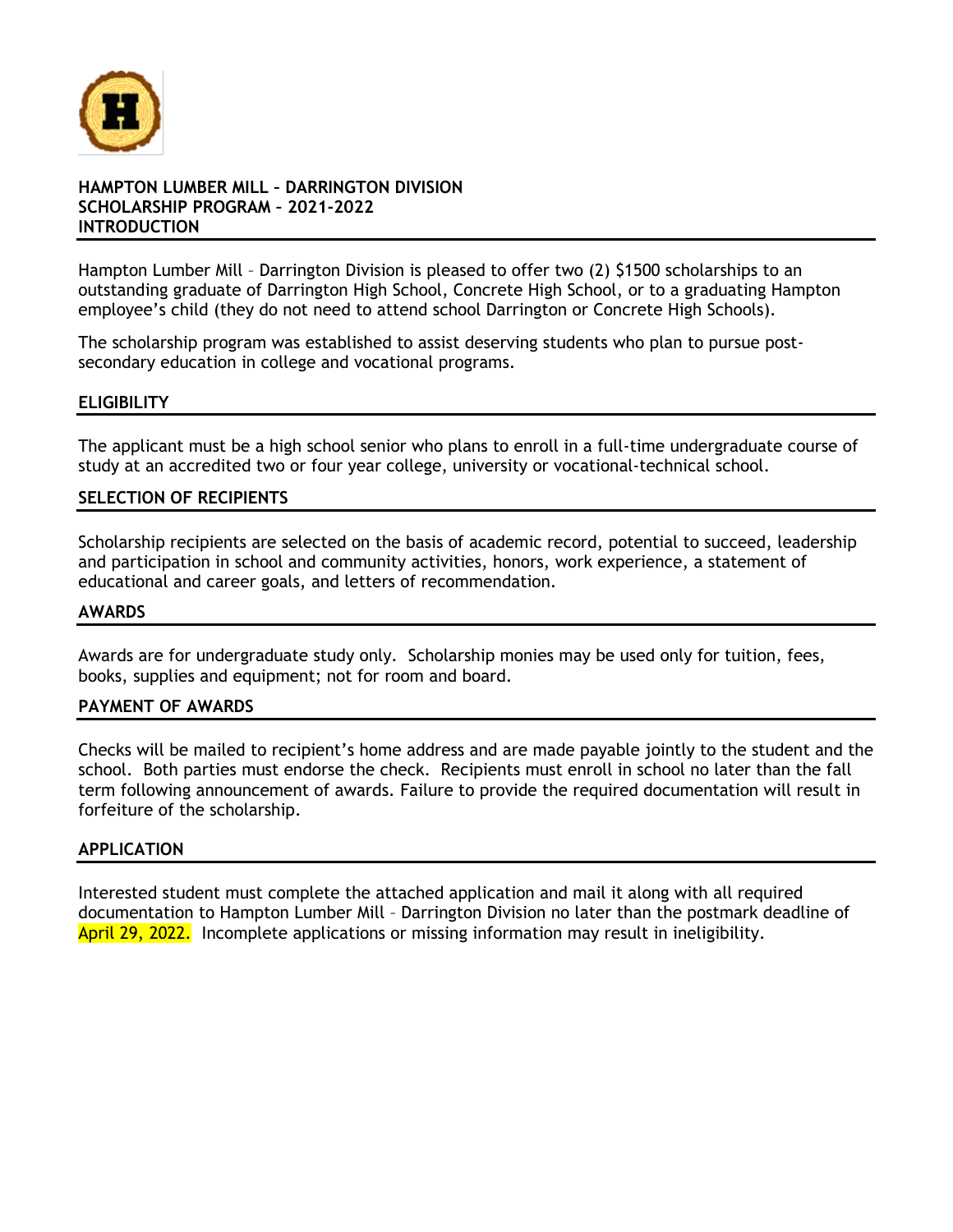

#### **HAMPTON LUMBER MILL – DARRINGTON DIVISION SCHOLARSHIP PROGRAM – 2021-2022 INTRODUCTION**

Hampton Lumber Mill – Darrington Division is pleased to offer two (2) \$1500 scholarships to an outstanding graduate of Darrington High School, Concrete High School, or to a graduating Hampton employee's child (they do not need to attend school Darrington or Concrete High Schools).

The scholarship program was established to assist deserving students who plan to pursue postsecondary education in college and vocational programs.

#### **ELIGIBILITY**

The applicant must be a high school senior who plans to enroll in a full-time undergraduate course of study at an accredited two or four year college, university or vocational-technical school.

#### **SELECTION OF RECIPIENTS**

Scholarship recipients are selected on the basis of academic record, potential to succeed, leadership and participation in school and community activities, honors, work experience, a statement of educational and career goals, and letters of recommendation.

#### **AWARDS**

Awards are for undergraduate study only. Scholarship monies may be used only for tuition, fees, books, supplies and equipment; not for room and board.

#### **PAYMENT OF AWARDS**

Checks will be mailed to recipient's home address and are made payable jointly to the student and the school. Both parties must endorse the check. Recipients must enroll in school no later than the fall term following announcement of awards. Failure to provide the required documentation will result in forfeiture of the scholarship.

#### **APPLICATION**

Interested student must complete the attached application and mail it along with all required documentation to Hampton Lumber Mill – Darrington Division no later than the postmark deadline of April 29, 2022. Incomplete applications or missing information may result in ineligibility.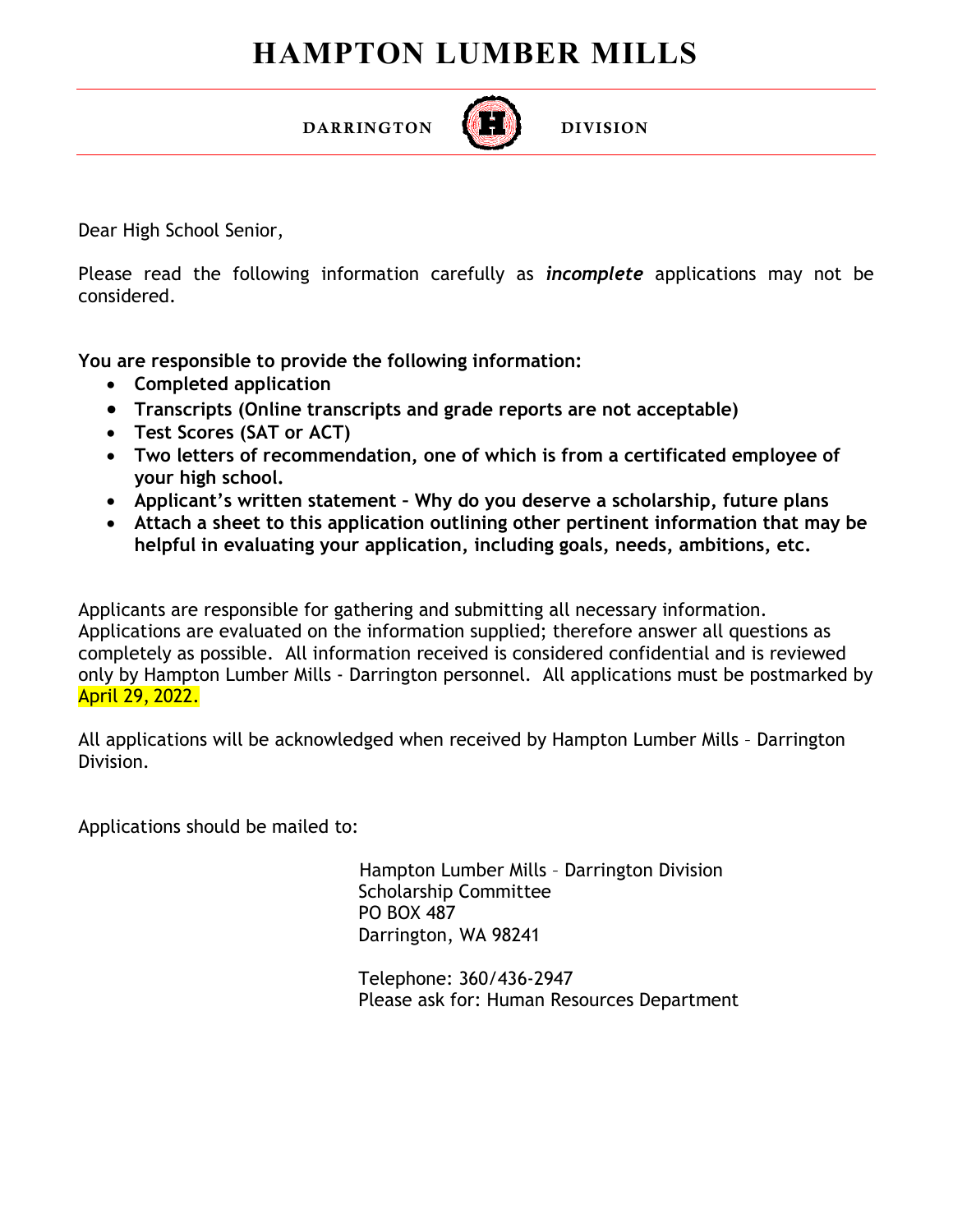## **HAMPTON LUMBER MILLS**



 $\overline{a}$ 

DIVISION

Dear High School Senior,

Please read the following information carefully as *incomplete* applications may not be considered.

**You are responsible to provide the following information:**

DARRINGTON

- **Completed application**
- **Transcripts (Online transcripts and grade reports are not acceptable)**
- **Test Scores (SAT or ACT)**
- **Two letters of recommendation, one of which is from a certificated employee of your high school.**
- **Applicant's written statement Why do you deserve a scholarship, future plans**
- **Attach a sheet to this application outlining other pertinent information that may be helpful in evaluating your application, including goals, needs, ambitions, etc.**

Applicants are responsible for gathering and submitting all necessary information. Applications are evaluated on the information supplied; therefore answer all questions as completely as possible. All information received is considered confidential and is reviewed only by Hampton Lumber Mills - Darrington personnel. All applications must be postmarked by April 29, 2022.

All applications will be acknowledged when received by Hampton Lumber Mills – Darrington Division.

Applications should be mailed to:

 Hampton Lumber Mills – Darrington Division Scholarship Committee PO BOX 487 Darrington, WA 98241

Telephone: 360/436-2947 Please ask for: Human Resources Department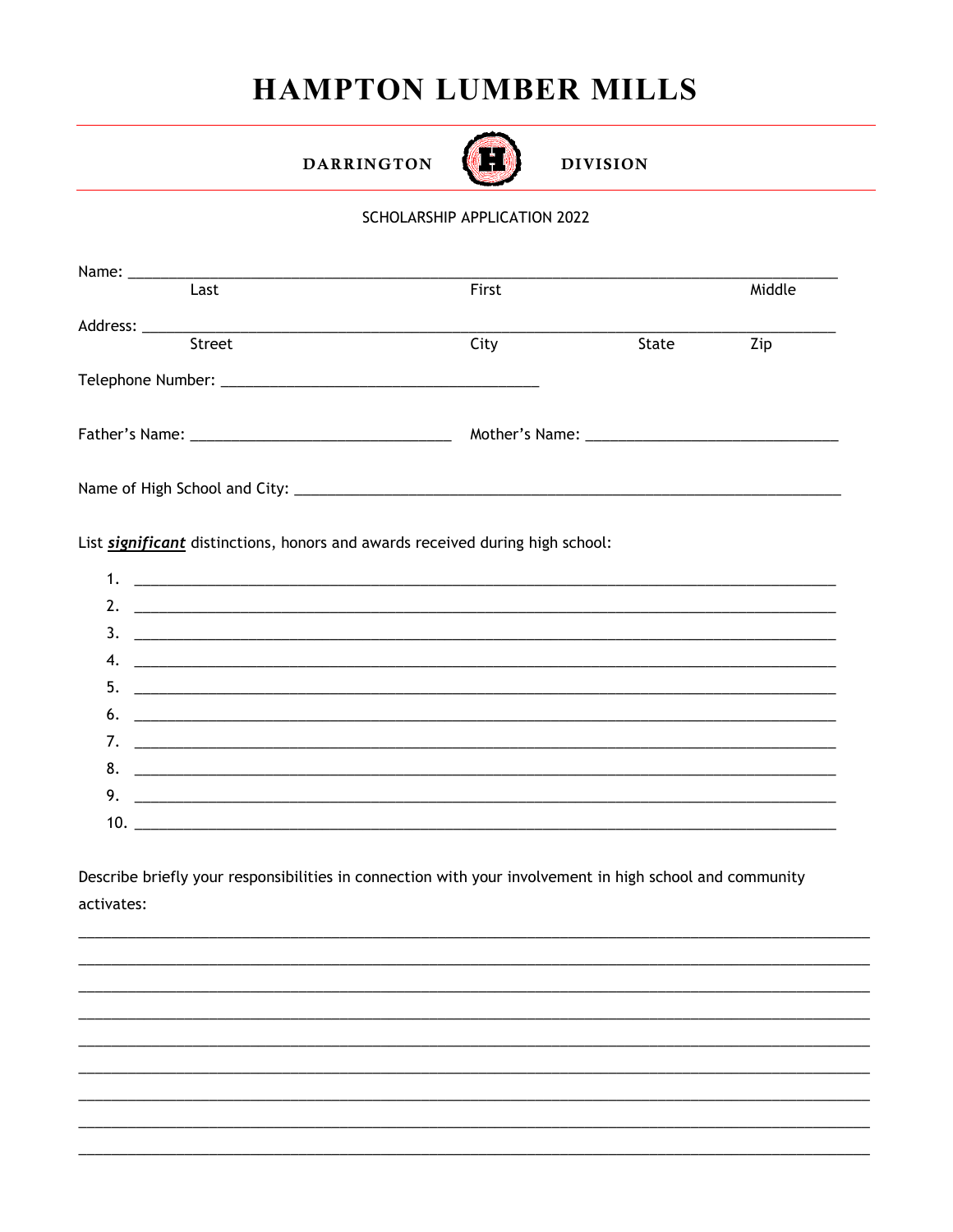# **HAMPTON LUMBER MILLS**

**DARRINGTON** 



**DIVISION** 

### SCHOLARSHIP APPLICATION 2022

| First |       | Middle |
|-------|-------|--------|
|       |       |        |
|       |       |        |
| City  | State | Zip    |
|       |       |        |
|       |       |        |
|       |       |        |
|       |       |        |

List significant distinctions, honors and awards received during high school:

| 2. $\qquad \qquad$            |
|-------------------------------|
| $\frac{1}{2}$                 |
|                               |
|                               |
| $\bullet$ . $\_\_$            |
|                               |
|                               |
| $9.$ $\overline{\phantom{a}}$ |
|                               |

Describe briefly your responsibilities in connection with your involvement in high school and community activates: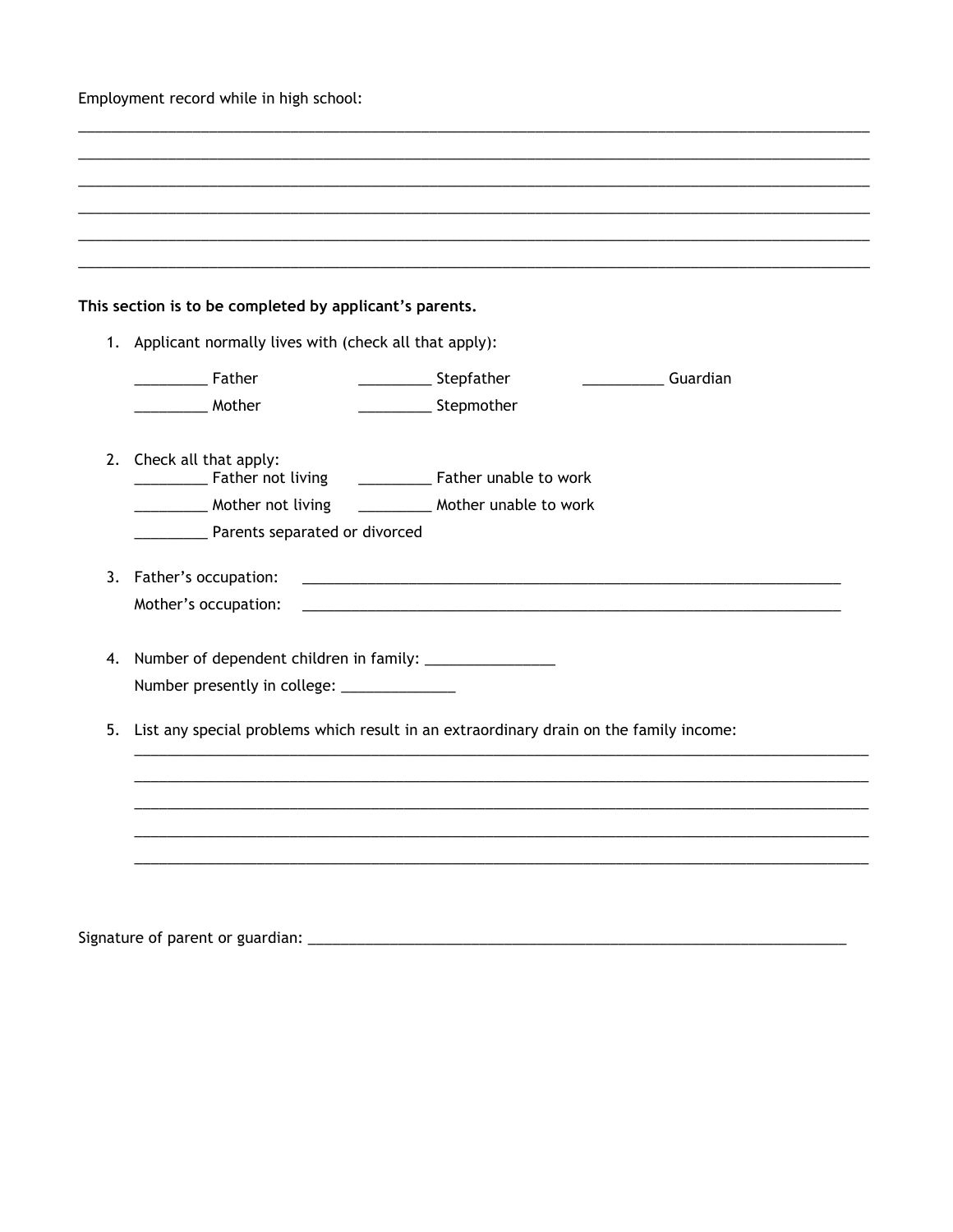Employment record while in high school:

|    | This section is to be completed by applicant's parents.<br>1. Applicant normally lives with (check all that apply): |                                                                                        |
|----|---------------------------------------------------------------------------------------------------------------------|----------------------------------------------------------------------------------------|
|    | <b>Father</b> Father                                                                                                | ________________ Stepfather<br><b>Cuardian</b>                                         |
|    | _____________ Mother                                                                                                | ____________________ Stepmother                                                        |
|    | 2. Check all that apply:                                                                                            |                                                                                        |
|    |                                                                                                                     | ______________ Father unable to work                                                   |
|    | __________ Mother not living                                                                                        | __________ Mother unable to work                                                       |
|    | Parents separated or divorced                                                                                       |                                                                                        |
|    | 3. Father's occupation:                                                                                             | <u> 1989 - Johann Stoff, amerikansk politiker (d. 1989)</u>                            |
|    | Mother's occupation:                                                                                                |                                                                                        |
| 4. |                                                                                                                     |                                                                                        |
|    | Number presently in college: _______________                                                                        |                                                                                        |
|    |                                                                                                                     |                                                                                        |
| 5. |                                                                                                                     | List any special problems which result in an extraordinary drain on the family income: |